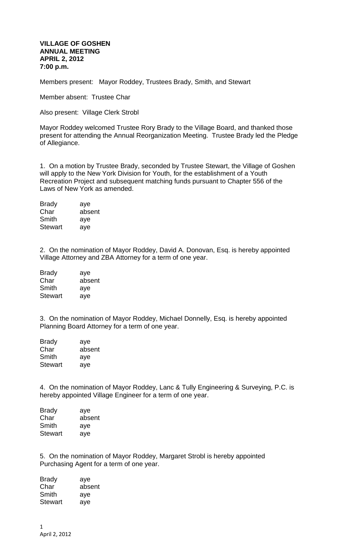## **VILLAGE OF GOSHEN ANNUAL MEETING APRIL 2, 2012 7:00 p.m.**

Members present: Mayor Roddey, Trustees Brady, Smith, and Stewart

Member absent: Trustee Char

Also present: Village Clerk Strobl

Mayor Roddey welcomed Trustee Rory Brady to the Village Board, and thanked those present for attending the Annual Reorganization Meeting. Trustee Brady led the Pledge of Allegiance.

1. On a motion by Trustee Brady, seconded by Trustee Stewart, the Village of Goshen will apply to the New York Division for Youth, for the establishment of a Youth Recreation Project and subsequent matching funds pursuant to Chapter 556 of the Laws of New York as amended.

| <b>Brady</b>   | aye    |
|----------------|--------|
| Char           | absent |
| Smith          | aye    |
| <b>Stewart</b> | aye    |

2. On the nomination of Mayor Roddey, David A. Donovan, Esq. is hereby appointed Village Attorney and ZBA Attorney for a term of one year.

| <b>Brady</b>   | aye    |
|----------------|--------|
| Char           | absent |
| Smith          | aye    |
| <b>Stewart</b> | aye    |

3. On the nomination of Mayor Roddey, Michael Donnelly, Esq. is hereby appointed Planning Board Attorney for a term of one year.

| <b>Brady</b>   | aye    |
|----------------|--------|
| Char           | absent |
| Smith          | aye    |
| <b>Stewart</b> | aye    |

4. On the nomination of Mayor Roddey, Lanc & Tully Engineering & Surveying, P.C. is hereby appointed Village Engineer for a term of one year.

| <b>Brady</b>   | aye    |
|----------------|--------|
| Char           | absent |
| Smith          | aye    |
| <b>Stewart</b> | ave    |

5. On the nomination of Mayor Roddey, Margaret Strobl is hereby appointed Purchasing Agent for a term of one year.

Brady aye Char absent Smith aye Stewart aye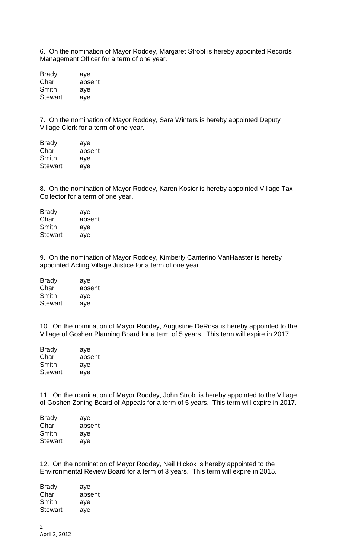6. On the nomination of Mayor Roddey, Margaret Strobl is hereby appointed Records Management Officer for a term of one year.

| <b>Brady</b>   | aye    |
|----------------|--------|
| Char           | absent |
| Smith          | aye    |
| <b>Stewart</b> | aye    |

7. On the nomination of Mayor Roddey, Sara Winters is hereby appointed Deputy Village Clerk for a term of one year.

| <b>Brady</b>   | aye    |
|----------------|--------|
| Char           | absent |
| Smith          | aye    |
| <b>Stewart</b> | aye    |

8. On the nomination of Mayor Roddey, Karen Kosior is hereby appointed Village Tax Collector for a term of one year.

Brady aye Char absent Smith aye Stewart aye

9. On the nomination of Mayor Roddey, Kimberly Canterino VanHaaster is hereby appointed Acting Village Justice for a term of one year.

| <b>Brady</b>   | aye    |
|----------------|--------|
| Char           | absent |
| Smith          | aye    |
| <b>Stewart</b> | aye    |

10. On the nomination of Mayor Roddey, Augustine DeRosa is hereby appointed to the Village of Goshen Planning Board for a term of 5 years. This term will expire in 2017.

| <b>Brady</b> | aye    |
|--------------|--------|
| Char         | absent |
| Smith        | aye    |
| Stewart      | aye    |

11. On the nomination of Mayor Roddey, John Strobl is hereby appointed to the Village of Goshen Zoning Board of Appeals for a term of 5 years. This term will expire in 2017.

| <b>Brady</b> | aye    |
|--------------|--------|
| Char         | absent |
| Smith        | aye    |
| Stewart      | ave    |

12. On the nomination of Mayor Roddey, Neil Hickok is hereby appointed to the Environmental Review Board for a term of 3 years. This term will expire in 2015.

| Brady   | aye    |
|---------|--------|
| Char    | absent |
| Smith   | aye    |
| Stewart | ave    |
|         |        |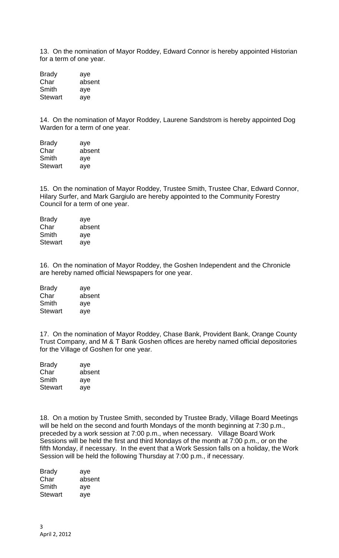13. On the nomination of Mayor Roddey, Edward Connor is hereby appointed Historian for a term of one year.

Brady aye Char absent Smith aye Stewart aye

14. On the nomination of Mayor Roddey, Laurene Sandstrom is hereby appointed Dog Warden for a term of one year.

| <b>Brady</b>   | aye    |
|----------------|--------|
| Char           | absent |
| Smith          | aye    |
| <b>Stewart</b> | aye    |

15. On the nomination of Mayor Roddey, Trustee Smith, Trustee Char, Edward Connor, Hilary Surfer, and Mark Gargiulo are hereby appointed to the Community Forestry Council for a term of one year.

| <b>Brady</b>   | aye    |
|----------------|--------|
| Char           | absent |
| Smith          | aye    |
| <b>Stewart</b> | aye    |

16. On the nomination of Mayor Roddey, the Goshen Independent and the Chronicle are hereby named official Newspapers for one year.

| <b>Brady</b>   | aye    |
|----------------|--------|
| Char           | absent |
| Smith          | aye    |
| <b>Stewart</b> | aye    |

17. On the nomination of Mayor Roddey, Chase Bank, Provident Bank, Orange County Trust Company, and M & T Bank Goshen offices are hereby named official depositories for the Village of Goshen for one year.

| <b>Brady</b>   | aye    |  |
|----------------|--------|--|
| Char           | absent |  |
| Smith          | aye    |  |
| <b>Stewart</b> | ave    |  |

18. On a motion by Trustee Smith, seconded by Trustee Brady, Village Board Meetings will be held on the second and fourth Mondays of the month beginning at 7:30 p.m., preceded by a work session at 7:00 p.m., when necessary. Village Board Work Sessions will be held the first and third Mondays of the month at 7:00 p.m., or on the fifth Monday, if necessary. In the event that a Work Session falls on a holiday, the Work Session will be held the following Thursday at 7:00 p.m., if necessary.

| <b>Brady</b>   | aye    |
|----------------|--------|
| Char           | absent |
| Smith          | aye    |
| <b>Stewart</b> | aye    |